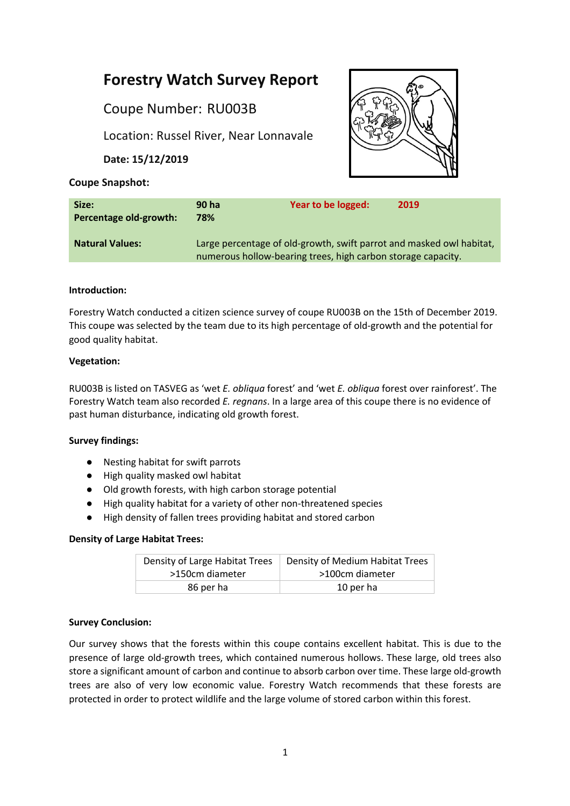# **Forestry Watch Survey Report**

Coupe Number: RU003B

Location: Russel River, Near Lonnavale

**Date: 15/12/2019**



## **Coupe Snapshot:**

| Size:<br>Percentage old-growth: | 90 ha<br>78%                                                                                                                         | Year to be logged: | 2019 |
|---------------------------------|--------------------------------------------------------------------------------------------------------------------------------------|--------------------|------|
| <b>Natural Values:</b>          | Large percentage of old-growth, swift parrot and masked owl habitat,<br>numerous hollow-bearing trees, high carbon storage capacity. |                    |      |

## **Introduction:**

Forestry Watch conducted a citizen science survey of coupe RU003B on the 15th of December 2019. This coupe was selected by the team due to its high percentage of old-growth and the potential for good quality habitat.

## **Vegetation:**

RU003B is listed on TASVEG as 'wet *E. obliqua* forest' and 'wet *E. obliqua* forest over rainforest'. The Forestry Watch team also recorded *E. regnans*. In a large area of this coupe there is no evidence of past human disturbance, indicating old growth forest.

## **Survey findings:**

- Nesting habitat for swift parrots
- High quality masked owl habitat
- Old growth forests, with high carbon storage potential
- High quality habitat for a variety of other non-threatened species
- High density of fallen trees providing habitat and stored carbon

#### **Density of Large Habitat Trees:**

| Density of Large Habitat Trees | Density of Medium Habitat Trees |  |
|--------------------------------|---------------------------------|--|
| >150cm diameter                | >100cm diameter                 |  |
| 86 per ha                      | 10 per ha                       |  |

#### **Survey Conclusion:**

Our survey shows that the forests within this coupe contains excellent habitat. This is due to the presence of large old-growth trees, which contained numerous hollows. These large, old trees also store a significant amount of carbon and continue to absorb carbon over time. These large old-growth trees are also of very low economic value. Forestry Watch recommends that these forests are protected in order to protect wildlife and the large volume of stored carbon within this forest.